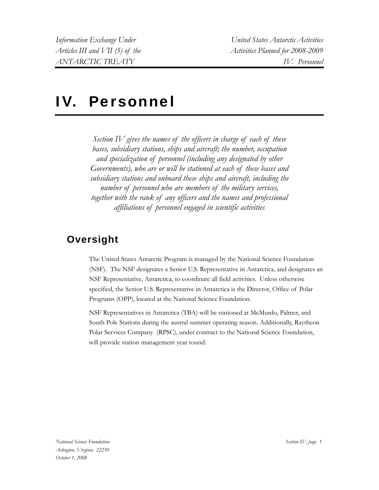# IV. Personnel

*Section IV gives the names of the officers in charge of each of these bases, subsidiary stations, ships and aircraft; the number, occupation and specialization of personnel (including any designated by other Governments), who are or will be stationed at each of these bases and subsidiary stations and onboard these ships and aircraft, including the number of personnel who are members of the military services, together with the rank of any officers and the names and professional affiliations of personnel engaged in scientific activities* 

## **Oversight**

The United States Antarctic Program is managed by the National Science Foundation (NSF). The NSF designates a Senior U.S. Representative in Antarctica, and designates an NSF Representative, Antarctica, to coordinate all field activities. Unless otherwise specified, the Senior U.S. Representative in Antarctica is the Director, Office of Polar Programs (OPP), located at the National Science Foundation.

NSF Representatives in Antarctica (TBA) will be stationed at McMurdo, Palmer, and South Pole Stations during the austral summer operating season. Additionally, Raytheon Polar Services Company (RPSC), under contract to the National Science Foundation, will provide station management year round.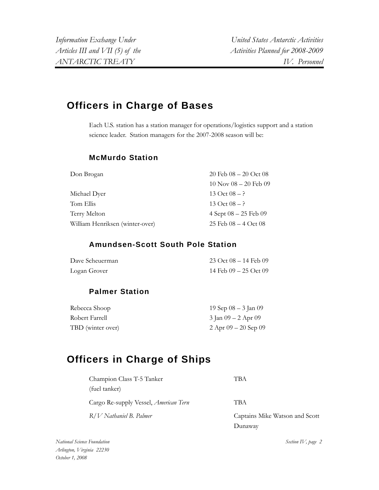## **Officers in Charge of Bases**

Each U.S. station has a station manager for operations/logistics support and a station science leader. Station managers for the 2007-2008 season will be:

## **McMurdo Station**

| Don Brogan                      | 20 Feb $08 - 20$ Oct $08$   |
|---------------------------------|-----------------------------|
|                                 | $10$ Nov $08 - 20$ Feb $09$ |
| Michael Dyer                    | 13 Oct $08 - ?$             |
| Tom Ellis                       | 13 Oct $08 - ?$             |
| Terry Melton                    | $4$ Sept $08 - 25$ Feb $09$ |
| William Henriksen (winter-over) | 25 Feb $08 - 4$ Oct $08$    |

## **Amundsen-Scott South Pole Station**

| Dave Scheuerman | $23 \text{ Oct } 08 - 14 \text{ Feb } 09$ |
|-----------------|-------------------------------------------|
| Logan Grover    | 14 Feb $09 - 25$ Oct $09$                 |

## **Palmer Station**

| Rebecca Shoop     | 19 Sep $08 - 3$ Jan $09$ |
|-------------------|--------------------------|
| Robert Farrell    | 3 Jan 09 – 2 Apr 09      |
| TBD (winter over) | $2$ Apr $09 - 20$ Sep 09 |

## **Officers in Charge of Ships**

| Champion Class T-5 Tanker                    | TBA                            |
|----------------------------------------------|--------------------------------|
| (fuel tanker)                                |                                |
| Cargo Re-supply Vessel, <i>American Tern</i> | TBA                            |
| R/V Nathaniel B. Palmer                      | Captains Mike Watson and Scott |
|                                              | Dunawav                        |

*National Science Foundation Arlington, Virginia 22230 October 1, 2008*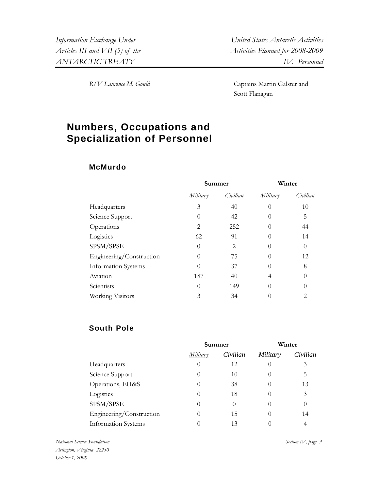*R/V Laurence M. Gould* Captains Martin Galster and Scott Flanagan

## **Numbers, Occupations and Specialization of Personnel**

## **McMurdo**

|                            | Summer   |          | Winter   |          |
|----------------------------|----------|----------|----------|----------|
|                            | Military | Civilian | Military | Civilian |
| Headquarters               | 3        | 40       | $\Omega$ | 10       |
| Science Support            | $\theta$ | 42       | $\Omega$ | 5        |
| Operations                 | 2        | 252      | $\Omega$ | 44       |
| Logistics                  | 62       | 91       | 0        | 14       |
| SPSM/SPSE                  | 0        | 2        | 0        | $\Omega$ |
| Engineering/Construction   | $\theta$ | 75       | 0        | 12       |
| <b>Information Systems</b> | 0        | 37       | 0        | 8        |
| Aviation                   | 187      | 40       | 4        |          |
| Scientists                 | $\theta$ | 149      | $\Omega$ |          |
| Working Visitors           | 3        | 34       |          | 2        |

## **South Pole**

|                            | Summer   |          | Winter           |          |
|----------------------------|----------|----------|------------------|----------|
|                            | Military | Civilian | Military         | Civilian |
| Headquarters               | $\theta$ | 12       | $\left( \right)$ | 3        |
| Science Support            | $\theta$ | 10       |                  | 5        |
| Operations, EH&S           | $\theta$ | 38       | $\theta$         | 13       |
| Logistics                  | $\theta$ | 18       | $\left( \right)$ | 3        |
| SPSM/SPSE                  | $\theta$ | $\Omega$ |                  | $\Omega$ |
| Engineering/Construction   | $_{0}$   | 15       |                  | 14       |
| <b>Information Systems</b> |          | 13       |                  |          |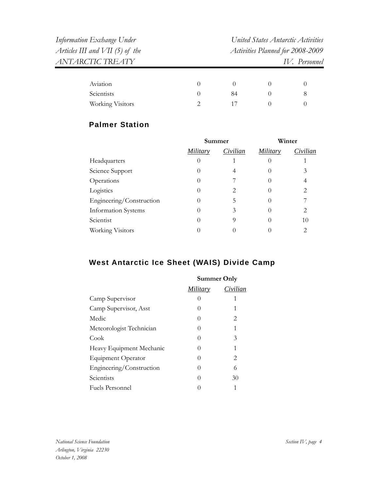| Information Exchange Under        | United States Antarctic Activities |
|-----------------------------------|------------------------------------|
| Articles III and $VII$ (5) of the | Activities Planned for 2008-2009   |
| ANTARCTIC TREATY                  | IV. Personnel                      |
|                                   |                                    |

| Aviation         |    |  |
|------------------|----|--|
| Scientists       | 84 |  |
| Working Visitors |    |  |

## **Palmer Station**

| Summer   |          | Winter   |          |
|----------|----------|----------|----------|
| Military | Civilian | Military | Civilian |
| $\theta$ |          |          |          |
| $\theta$ | 4        |          | 3        |
| $\cup$   |          |          | 4        |
|          | 2        |          | 2        |
| $\theta$ | 5        |          |          |
| $\theta$ | 3        |          | 2        |
| $\theta$ |          |          | 10       |
|          |          |          | 2        |
|          |          |          |          |

## **West Antarctic Ice Sheet (WAIS) Divide Camp**

|                           | <b>Summer Only</b> |          |
|---------------------------|--------------------|----------|
|                           | <i>Military</i>    | Civilian |
| Camp Supervisor           | 0                  |          |
| Camp Supervisor, Asst     | $\left( \right)$   |          |
| Medic                     | 0                  | 2        |
| Meteorologist Technician  | 0                  | 1        |
| Cook                      | 0                  | 3        |
| Heavy Equipment Mechanic  | 0                  | 1        |
| <b>Equipment Operator</b> | 0                  | 2        |
| Engineering/Construction  | 0                  | 6        |
| Scientists                | $\Omega$           | 30       |
| Fuels Personnel           |                    | 1        |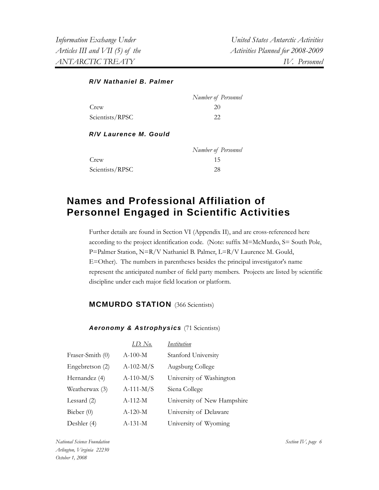#### *R/V Nathaniel B. Palmer*

|                 | Number of Personnel |
|-----------------|---------------------|
| Crew            | 20                  |
| Scientists/RPSC | 22                  |

### *R/V Laurence M. Gould*

|                 | Number of Personnel |
|-----------------|---------------------|
| Crew            | 15                  |
| Scientists/RPSC | 28                  |

## **Names and Professional Affiliation of Personnel Engaged in Scientific Activities**

Further details are found in Section VI (Appendix II), and are cross-referenced here according to the project identification code. (Note: suffix M=McMurdo, S= South Pole, P=Palmer Station, N=R/V Nathaniel B. Palmer, L=R/V Laurence M. Gould, E=Other). The numbers in parentheses besides the principal investigator's name represent the anticipated number of field party members. Projects are listed by scientific discipline under each major field location or platform.

## **MCMURDO STATION** (366 Scientists)

### Aeronomy & Astrophysics (71 Scientists)

|                  | I.D. No.    | Institution                 |
|------------------|-------------|-----------------------------|
| Fraser-Smith (0) | $A-100-M$   | Stanford University         |
| Engebretson (2)  | $A-102-M/S$ | Augsburg College            |
| Hernandez (4)    | $A-110-M/S$ | University of Washington    |
| Weatherwax (3)   | $A-111-M/S$ | Siena College               |
| Lessard $(2)$    | $A-112-M$   | University of New Hampshire |
| Bieber $(0)$     | $A-120-M$   | University of Delaware      |
| Deshler (4)      | $A-131-M$   | University of Wyoming       |

*National Science Foundation Arlington, Virginia 22230 October 1, 2008*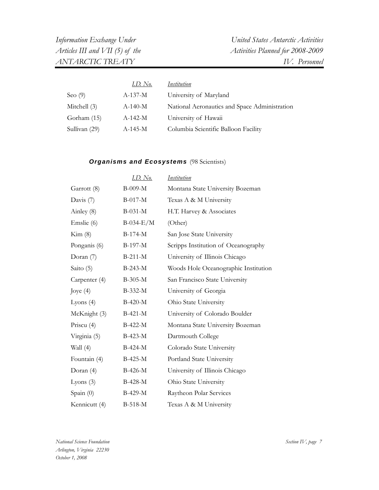|               | <u>I.D. No.</u> | <i><u><b>Institution</b></u></i>              |
|---------------|-----------------|-----------------------------------------------|
| Seo $(9)$     | $A-137-M$       | University of Maryland                        |
| Mitchell (3)  | $A-140-M$       | National Aeronautics and Space Administration |
| Gorham (15)   | $A-142-M$       | University of Hawaii                          |
| Sullivan (29) | $A-145-M$       | Columbia Scientific Balloon Facility          |

## **Organisms and Ecosystems** (98 Scientists)

|               | I.D. No.    | Institution                          |
|---------------|-------------|--------------------------------------|
| Garrott (8)   | $B-009-M$   | Montana State University Bozeman     |
| Davis $(7)$   | $B-017-M$   | Texas A & M University               |
| Ainley (8)    | $B-031-M$   | H.T. Harvey & Associates             |
| Emslie (6)    | $B-034-E/M$ | (Other)                              |
| Kim (8)       | $B-174-M$   | San Jose State University            |
| Ponganis (6)  | $B-197-M$   | Scripps Institution of Oceanography  |
| Doran (7)     | $B-211-M$   | University of Illinois Chicago       |
| Saito (5)     | $B-243-M$   | Woods Hole Oceanographic Institution |
| Carpenter (4) | B-305-M     | San Francisco State University       |
| Joye $(4)$    | B-332-M     | University of Georgia                |
| Lyons $(4)$   | $B-420-M$   | Ohio State University                |
| McKnight (3)  | $B-421-M$   | University of Colorado Boulder       |
| Priscu (4)    | $B-422-M$   | Montana State University Bozeman     |
| Virginia (5)  | $B-423-M$   | Dartmouth College                    |
| Wall (4)      | B-424-M     | Colorado State University            |
| Fountain (4)  | B-425-M     | Portland State University            |
| Doran (4)     | B-426-M     | University of Illinois Chicago       |
| Lyons $(3)$   | B-428-M     | Ohio State University                |
| Spain (0)     | B-429-M     | Raytheon Polar Services              |
| Kennicutt (4) | $B-518-M$   | Texas A & M University               |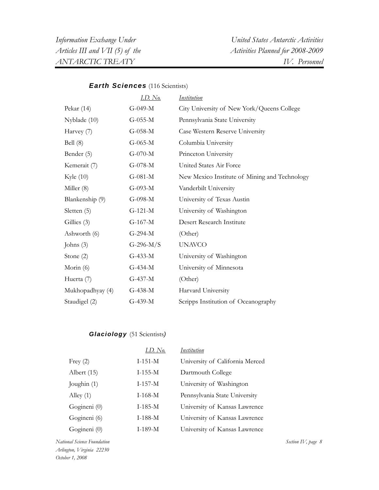## *Earth Sciences* (116 Scientists)

|                  | <u>I.D. No.</u> | Institution                                   |
|------------------|-----------------|-----------------------------------------------|
| Pekar $(14)$     | $G-049-M$       | City University of New York/Queens College    |
| Nyblade $(10)$   | $G-055-M$       | Pennsylvania State University                 |
| Harvey (7)       | $G-058-M$       | Case Western Reserve University               |
| Bell $(8)$       | $G-065-M$       | Columbia University                           |
| Bender (5)       | $G-070-M$       | Princeton University                          |
| Kemerait (7)     | $G-078-M$       | United States Air Force                       |
| Kyle $(10)$      | $G-081-M$       | New Mexico Institute of Mining and Technology |
| Miller (8)       | $G-093-M$       | Vanderbilt University                         |
| Blankenship (9)  | $G-098-M$       | University of Texas Austin                    |
| Sletten (5)      | $G-121-M$       | University of Washington                      |
| Gillies (3)      | $G-167-M$       | Desert Research Institute                     |
| Ashworth (6)     | $G-294-M$       | (Other)                                       |
| Johns $(3)$      | G-296- $M/S$    | <b>UNAVCO</b>                                 |
| Stone $(2)$      | $G-433-M$       | University of Washington                      |
| Morin $(6)$      | $G-434-M$       | University of Minnesota                       |
| Huerta (7)       | $G-437-M$       | (Other)                                       |
| Mukhopadhyay (4) | $G-438-M$       | Harvard University                            |
| Staudigel (2)    | $G-439-M$       | Scripps Institution of Oceanography           |

## *Glaciology* (51 Scientists*)*

|               | I.D. No.  | Institution                     |
|---------------|-----------|---------------------------------|
| Frey $(2)$    | $I-151-M$ | University of California Merced |
| Albert $(15)$ | $I-155-M$ | Dartmouth College               |
| Joughin (1)   | $I-157-M$ | University of Washington        |
| Alley $(1)$   | $I-168-M$ | Pennsylvania State University   |
| Gogineni (0)  | $I-185-M$ | University of Kansas Lawrence   |
| Gogineni (6)  | $I-188-M$ | University of Kansas Lawrence   |
| Gogineni (0)  | $I-189-M$ | University of Kansas Lawrence   |

*National Science Foundation Arlington, Virginia 22230 October 1, 2008*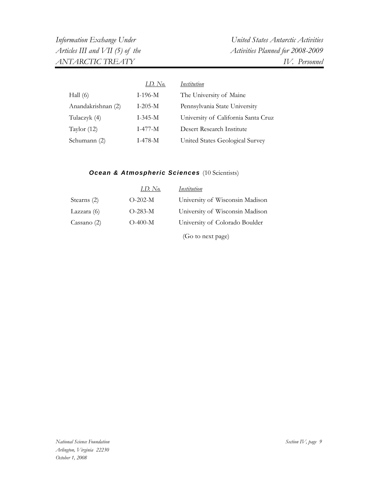|                    | I.D. No.      | Institution                         |
|--------------------|---------------|-------------------------------------|
| Hall $(6)$         | $I-196-M$     | The University of Maine             |
| Anandakrishnan (2) | $I-205-M$     | Pennsylvania State University       |
| Tulaczyk (4)       | $I - 345 - M$ | University of California Santa Cruz |
| Taylor $(12)$      | $I-477-M$     | Desert Research Institute           |
| Schumann (2)       | $I-478-M$     | United States Geological Survey     |

## *Ocean & Atmospheric Sciences* (10 Scientists)

|               | I.D. No.  | Institution                     |
|---------------|-----------|---------------------------------|
| Stearns (2)   | $O-202-M$ | University of Wisconsin Madison |
| Lazzara $(6)$ | $O-283-M$ | University of Wisconsin Madison |
| Cassano $(2)$ | $O-400-M$ | University of Colorado Boulder  |
|               |           | (Go to next page)               |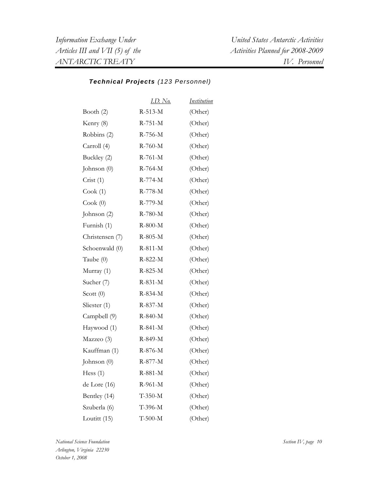#### *Technical Projects (123 Personnel)*

|                 | <u>I.D. No.</u> | <b>Institution</b> |
|-----------------|-----------------|--------------------|
| Booth $(2)$     | $R-513-M$       | (Other)            |
| Kenry (8)       | $R-751-M$       | (Other)            |
| Robbins (2)     | R-756-M         | (Other)            |
| Carroll (4)     | R-760-M         | (Other)            |
| Buckley (2)     | $R-761-M$       | (Other)            |
| Johnson $(0)$   | $R-764-M$       | (Other)            |
| Crist(1)        | $R-774-M$       | (Other)            |
| Cook(1)         | R-778-M         | (Other)            |
| Cook(0)         | R-779-M         | (Other)            |
| Johnson (2)     | R-780-M         | (Other)            |
| Furnish (1)     | $R-800-M$       | (Other)            |
| Christensen (7) | R-805-M         | (Other)            |
| Schoenwald (0)  | $R-811-M$       | (Other)            |
| Taube (0)       | R-822-M         | (Other)            |
| Murray (1)      | R-825-M         | (Other)            |
| Sucher (7)      | R-831-M         | (Other)            |
| Scott $(0)$     | R-834-M         | (Other)            |
| Sliester (1)    | R-837-M         | (Other)            |
| Campbell (9)    | R-840-M         | (Other)            |
| Haywood (1)     | $R-841-M$       | (Other)            |
| Mazzeo (3)      | R-849-M         | (Other)            |
| Kauffman (1)    | R-876-M         | (Other)            |
| Johnson $(0)$   | R-877-M         | (Other)            |
| Hess $(1)$      | R-881-M         | (Other)            |
| de Lore (16)    | R-961-M         | (Other)            |
| Bentley (14)    | $T-350-M$       | (Other)            |
| Szuberla (6)    | T-396-M         | (Other)            |
| Loutitt (15)    | $T-500-M$       | (Other)            |

*National Science Foundation Arlington, Virginia 22230 October 1, 2008*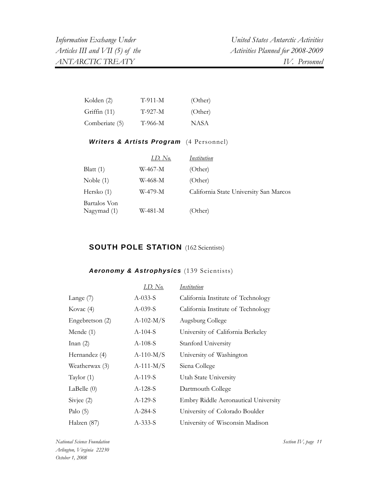| Kolden (2)     | $T-911-M$ | (Other) |
|----------------|-----------|---------|
| Griffin $(11)$ | $T-927-M$ | (Other) |
| Comberiate (5) | T-966-M   | NASA    |

## Writers & Artists Program (4 Personnel)

|                             | I.D. No. | Institution                            |
|-----------------------------|----------|----------------------------------------|
| Blatt $(1)$                 | W-467-M  | (Other)                                |
| Noble $(1)$                 | W-468-M  | (Other)                                |
| Hersko $(1)$                | W-479-M  | California State University San Marcos |
| Bartalos Von<br>Nagymad (1) | W-481-M  | (Other)                                |

## **SOUTH POLE STATION** (162 Scientists)

## *Aeronomy & Astrophysics* (139 Scientists)

|                 | <u>I.D. No.</u> | <u>Institution</u>                   |
|-----------------|-----------------|--------------------------------------|
| Lange $(7)$     | $A-033-S$       | California Institute of Technology   |
| Kovac $(4)$     | $A-039-S$       | California Institute of Technology   |
| Engebretson (2) | $A-102-M/S$     | Augsburg College                     |
| Mende $(1)$     | $A-104-S$       | University of California Berkeley    |
| Inan(2)         | $A-108-S$       | Stanford University                  |
| Hernandez (4)   | $A-110-M/S$     | University of Washington             |
| Weatherwax (3)  | $A-111-M/S$     | Siena College                        |
| Taylor $(1)$    | A-119-S         | Utah State University                |
| LaBelle $(0)$   | $A-128-S$       | Dartmouth College                    |
| Sivjee $(2)$    | $A-129-S$       | Embry Riddle Aeronautical University |
| Palo $(5)$      | $A-284-S$       | University of Colorado Boulder       |
| Halzen (87)     | $A-333-S$       | University of Wisconsin Madison      |

*National Science Foundation Arlington, Virginia 22230 October 1, 2008*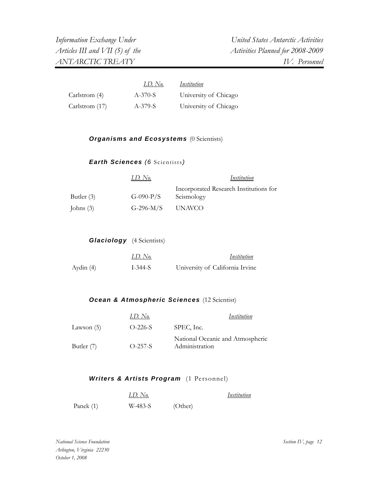|                | I.D. No.  | Institution           |
|----------------|-----------|-----------------------|
| Carlstrom (4)  | $A-370-S$ | University of Chicago |
| Carlstrom (17) | A-379-S   | University of Chicago |

#### **Organisms and Ecosystems** (0 Scientists)

*Earth Sciences (6* Scientists*)*

|             | $I.D.$ No.  | Institution                            |
|-------------|-------------|----------------------------------------|
|             |             | Incorporated Research Institutions for |
| Butler (3)  | $G-090-P/S$ | Seismology                             |
| Johns $(3)$ | G-296-M/S   | UNAVCO                                 |

| <b>Glaciology</b> (4 Scientists) |         |  |
|----------------------------------|---------|--|
|                                  | $ID$ Na |  |

|           | $LD.$ No. | Institution                     |
|-----------|-----------|---------------------------------|
| Aydin (4) | I-344-S   | University of California Irvine |

### *Ocean & Atmospheric Sciences* (12 Scientist)

|            | $I.D.$ No. | Institution                                        |
|------------|------------|----------------------------------------------------|
| Lawson (5) | $O-226-S$  | SPEC, Inc.                                         |
| Butler (7) | $O-257-S$  | National Oceanic and Atmospheric<br>Administration |

### Writers & Artists Program (1 Personnel)

|           | $LD.$ No. |         | Institution |
|-----------|-----------|---------|-------------|
| Panek (1) | W-483-S   | (Other) |             |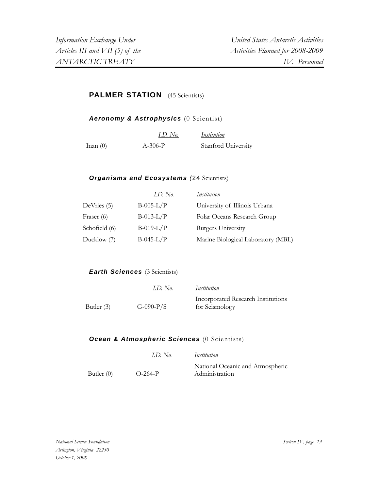## **PALMER STATION** (45 Scientists)

*Aeronomy & Astrophysics* (0 Scientist)

|            | I.D. No.  | Institution         |
|------------|-----------|---------------------|
| Inan $(0)$ | $A-306-P$ | Stanford University |

#### *Organisms and Ecosystems (*24 Scientists)

|               | I.D. No.    | <i><u><b>Institution</b></u></i>   |
|---------------|-------------|------------------------------------|
| DeVries (5)   | $B-005-L/P$ | University of Illinois Urbana      |
| Fraser (6)    | $B-013-L/P$ | Polar Oceans Research Group        |
| Schofield (6) | $B-019-L/P$ | Rutgers University                 |
| Ducklow (7)   | $B-045-L/P$ | Marine Biological Laboratory (MBL) |

#### *Earth Sciences (3 Scientists)*

|            | I.D. No.    | Institution                                          |
|------------|-------------|------------------------------------------------------|
| Butler (3) | $G-090-P/S$ | Incorporated Research Institutions<br>for Seismology |

#### *Ocean & Atmospheric Sciences* (0 Scientists)

|              | $LD.$ No. | Institution                      |
|--------------|-----------|----------------------------------|
|              |           | National Oceanic and Atmospheric |
| Butler $(0)$ | $O-264-P$ | Administration                   |

*National Science Foundation Arlington, Virginia 22230 October 1, 2008*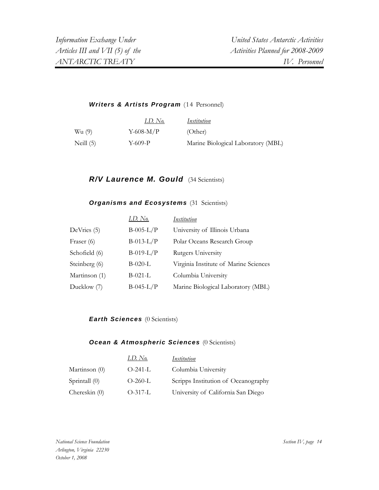#### Writers & Artists Program (14 Personnel)

|             | I.D. No.     | Institution                        |
|-------------|--------------|------------------------------------|
| Wu (9)      | $Y$ -608-M/P | (Other)                            |
| Neill $(5)$ | Y-609-P      | Marine Biological Laboratory (MBL) |

## **R/V Laurence M. Gould** (34 Scientists)

#### **Organisms and Ecosystems** (31 Scientists)

|               | <u>I.D. No.</u> | Institution                           |
|---------------|-----------------|---------------------------------------|
| DeVries (5)   | $B-005-L/P$     | University of Illinois Urbana         |
| Fraser (6)    | $B-013-L/P$     | Polar Oceans Research Group           |
| Schofield (6) | $B-019-L/P$     | Rutgers University                    |
| Steinberg (6) | $B-020-L$       | Virginia Institute of Marine Sciences |
| Martinson (1) | $B-021-L$       | Columbia University                   |
| Ducklow (7)   | $B-045-L/P$     | Marine Biological Laboratory (MBL)    |

#### *Earth Sciences* (0 Scientists)

#### **Ocean & Atmospheric Sciences** (0 Scientists)

|                 | 1.D. No.  | Institution                         |
|-----------------|-----------|-------------------------------------|
| Martinson $(0)$ | $O-241-L$ | Columbia University                 |
| Sprintall (0)   | $O-260-L$ | Scripps Institution of Oceanography |
| Chereskin $(0)$ | $O-317-L$ | University of California San Diego  |